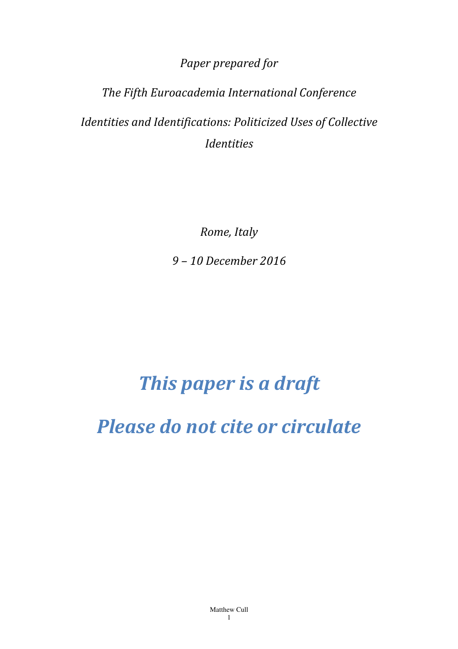*Paper prepared for* 

*The Fifth Euroacademia International Conference* 

*Identities and Identifications: Politicized Uses of Collective Identities* 

*Rome, Italy* 

*9 – 10 December 2016* 

# *This paper is a draft*

*Please do not cite or circulate*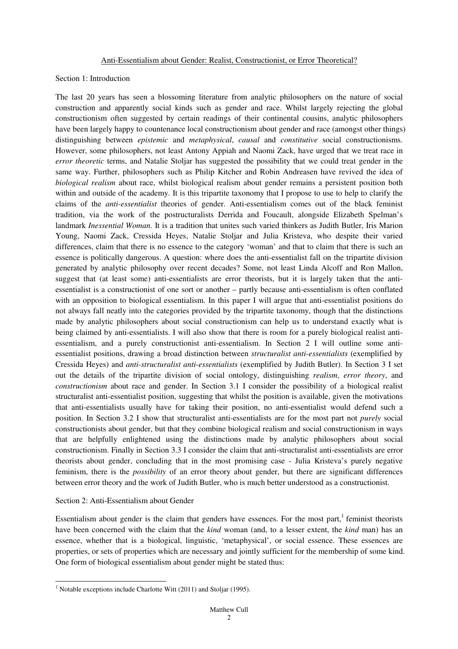Section 1: Introduction

The last 20 years has seen a blossoming literature from analytic philosophers on the nature of social construction and apparently social kinds such as gender and race. Whilst largely rejecting the global constructionism often suggested by certain readings of their continental cousins, analytic philosophers have been largely happy to countenance local constructionism about gender and race (amongst other things) distinguishing between *epistemic* and *metaphysical*, *causal* and *constitutive* social constructionisms. However, some philosophers, not least Antony Appiah and Naomi Zack, have urged that we treat race in *error theoretic* terms, and Natalie Stoljar has suggested the possibility that we could treat gender in the same way. Further, philosophers such as Philip Kitcher and Robin Andreasen have revived the idea of *biological realism* about race, whilst biological realism about gender remains a persistent position both within and outside of the academy. It is this tripartite taxonomy that I propose to use to help to clarify the claims of the *anti-essentialist* theories of gender. Anti-essentialism comes out of the black feminist tradition, via the work of the postructuralists Derrida and Foucault, alongside Elizabeth Spelman's landmark *Inessential Woman*. It is a tradition that unites such varied thinkers as Judith Butler, Iris Marion Young, Naomi Zack, Cressida Heyes, Natalie Stoljar and Julia Kristeva, who despite their varied differences, claim that there is no essence to the category 'woman' and that to claim that there is such an essence is politically dangerous. A question: where does the anti-essentialist fall on the tripartite division generated by analytic philosophy over recent decades? Some, not least Linda Alcoff and Ron Mallon, suggest that (at least some) anti-essentialists are error theorists, but it is largely taken that the antiessentialist is a constructionist of one sort or another – partly because anti-essentialism is often conflated with an opposition to biological essentialism. In this paper I will argue that anti-essentialist positions do not always fall neatly into the categories provided by the tripartite taxonomy, though that the distinctions made by analytic philosophers about social constructionism can help us to understand exactly what is being claimed by anti-essentialists. I will also show that there is room for a purely biological realist antiessentialism, and a purely constructionist anti-essentialism. In Section 2 I will outline some antiessentialist positions, drawing a broad distinction between *structuralist anti-essentialists* (exemplified by Cressida Heyes) and *anti-structuralist anti-essentialists* (exemplified by Judith Butler). In Section 3 I set out the details of the tripartite division of social ontology, distinguishing *realism*, *error theory*, and *constructionism* about race and gender. In Section 3.1 I consider the possibility of a biological realist structuralist anti-essentialist position, suggesting that whilst the position is available, given the motivations that anti-essentialists usually have for taking their position, no anti-essentialist would defend such a position. In Section 3.2 I show that structuralist anti-essentialists are for the most part not *purely* social constructionists about gender, but that they combine biological realism and social constructionism in ways that are helpfully enlightened using the distinctions made by analytic philosophers about social constructionism. Finally in Section 3.3 I consider the claim that anti-structuralist anti-essentialists are error theorists about gender, concluding that in the most promising case - Julia Kristeva's purely negative feminism, there is the *possibility* of an error theory about gender, but there are significant differences between error theory and the work of Judith Butler, who is much better understood as a constructionist.

Section 2: Anti-Essentialism about Gender

l

Essentialism about gender is the claim that genders have essences. For the most part, $1$  feminist theorists have been concerned with the claim that the *kind* woman (and, to a lesser extent, the *kind* man) has an essence, whether that is a biological, linguistic, 'metaphysical', or social essence. These essences are properties, or sets of properties which are necessary and jointly sufficient for the membership of some kind. One form of biological essentialism about gender might be stated thus:

<sup>&</sup>lt;sup>1</sup> Notable exceptions include Charlotte Witt  $(2011)$  and Stoljar  $(1995)$ .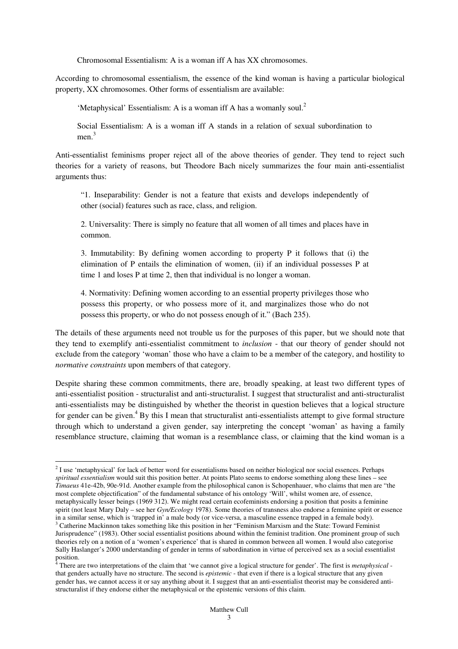Chromosomal Essentialism: A is a woman iff A has XX chromosomes.

According to chromosomal essentialism, the essence of the kind woman is having a particular biological property, XX chromosomes. Other forms of essentialism are available:

'Metaphysical' Essentialism: A is a woman iff A has a womanly soul.<sup>2</sup>

Social Essentialism: A is a woman iff A stands in a relation of sexual subordination to men. 3

Anti-essentialist feminisms proper reject all of the above theories of gender. They tend to reject such theories for a variety of reasons, but Theodore Bach nicely summarizes the four main anti-essentialist arguments thus:

"1. Inseparability: Gender is not a feature that exists and develops independently of other (social) features such as race, class, and religion.

2. Universality: There is simply no feature that all women of all times and places have in common.

3. Immutability: By defining women according to property P it follows that (i) the elimination of P entails the elimination of women, (ii) if an individual possesses P at time 1 and loses P at time 2, then that individual is no longer a woman.

4. Normativity: Defining women according to an essential property privileges those who possess this property, or who possess more of it, and marginalizes those who do not possess this property, or who do not possess enough of it." (Bach 235).

The details of these arguments need not trouble us for the purposes of this paper, but we should note that they tend to exemplify anti-essentialist commitment to *inclusion* - that our theory of gender should not exclude from the category 'woman' those who have a claim to be a member of the category, and hostility to *normative constraints* upon members of that category.

Despite sharing these common commitments, there are, broadly speaking, at least two different types of anti-essentialist position - structuralist and anti-structuralist. I suggest that structuralist and anti-structuralist anti-essentialists may be distinguished by whether the theorist in question believes that a logical structure for gender can be given.<sup>4</sup> By this I mean that structuralist anti-essentialists attempt to give formal structure through which to understand a given gender, say interpreting the concept 'woman' as having a family resemblance structure, claiming that woman is a resemblance class, or claiming that the kind woman is a

 $2<sup>2</sup>$  I use 'metaphysical' for lack of better word for essentialisms based on neither biological nor social essences. Perhaps *spiritual essentialism* would suit this position better. At points Plato seems to endorse something along these lines – see *Timaeus* 41e-42b, 90e-91d. Another example from the philosophical canon is Schopenhauer, who claims that men are "the most complete objectification" of the fundamental substance of his ontology 'Will', whilst women are, of essence, metaphysically lesser beings (1969 312). We might read certain ecofeminists endorsing a position that posits a feminine spirit (not least Mary Daly – see her *Gyn/Ecology* 1978). Some theories of transness also endorse a feminine spirit or essence in a similar sense, which is 'trapped in' a male body (or vice-versa, a masculine essence trapped in a female body).

<sup>&</sup>lt;sup>3</sup> Catherine Mackinnon takes something like this position in her "Feminism Marxism and the State: Toward Feminist Jurisprudence" (1983). Other social essentialist positions abound within the feminist tradition. One prominent group of such theories rely on a notion of a 'women's experience' that is shared in common between all women. I would also categorise Sally Haslanger's 2000 understanding of gender in terms of subordination in virtue of perceived sex as a social essentialist position.<br><sup>4</sup> Thore of

There are two interpretations of the claim that 'we cannot give a logical structure for gender'. The first is *metaphysical* that genders actually have no structure. The second is *epistemic* - that even if there is a logical structure that any given gender has, we cannot access it or say anything about it. I suggest that an anti-essentialist theorist may be considered antistructuralist if they endorse either the metaphysical or the epistemic versions of this claim.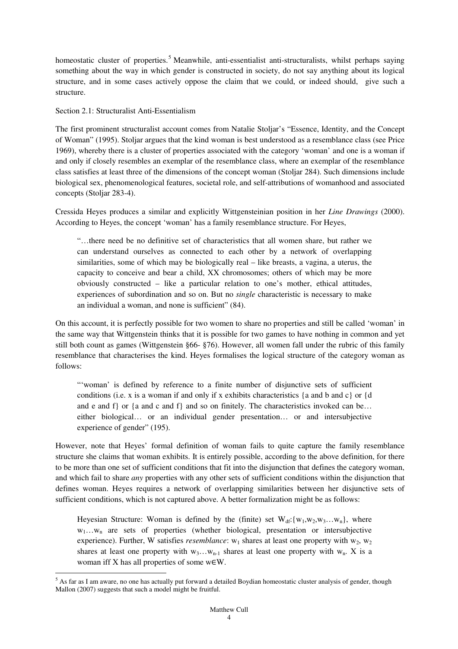homeostatic cluster of properties.<sup>5</sup> Meanwhile, anti-essentialist anti-structuralists, whilst perhaps saying something about the way in which gender is constructed in society, do not say anything about its logical structure, and in some cases actively oppose the claim that we could, or indeed should, give such a structure.

## Section 2.1: Structuralist Anti-Essentialism

 $\overline{a}$ 

The first prominent structuralist account comes from Natalie Stoljar's "Essence, Identity, and the Concept of Woman" (1995). Stoljar argues that the kind woman is best understood as a resemblance class (see Price 1969), whereby there is a cluster of properties associated with the category 'woman' and one is a woman if and only if closely resembles an exemplar of the resemblance class, where an exemplar of the resemblance class satisfies at least three of the dimensions of the concept woman (Stoljar 284). Such dimensions include biological sex, phenomenological features, societal role, and self-attributions of womanhood and associated concepts (Stoljar 283-4).

Cressida Heyes produces a similar and explicitly Wittgensteinian position in her *Line Drawings* (2000). According to Heyes, the concept 'woman' has a family resemblance structure. For Heyes,

"…there need be no definitive set of characteristics that all women share, but rather we can understand ourselves as connected to each other by a network of overlapping similarities, some of which may be biologically real – like breasts, a vagina, a uterus, the capacity to conceive and bear a child, XX chromosomes; others of which may be more obviously constructed – like a particular relation to one's mother, ethical attitudes, experiences of subordination and so on. But no *single* characteristic is necessary to make an individual a woman, and none is sufficient" (84).

On this account, it is perfectly possible for two women to share no properties and still be called 'woman' in the same way that Wittgenstein thinks that it is possible for two games to have nothing in common and yet still both count as games (Wittgenstein §66- §76). However, all women fall under the rubric of this family resemblance that characterises the kind. Heyes formalises the logical structure of the category woman as follows:

"'woman' is defined by reference to a finite number of disjunctive sets of sufficient conditions (i.e. x is a woman if and only if x exhibits characteristics {a and b and c} or {d} and e and f  $\alpha$  or  $\{a \text{ and } c \text{ and } f\}$  and so on finitely. The characteristics invoked can be... either biological… or an individual gender presentation… or and intersubjective experience of gender" (195).

However, note that Heyes' formal definition of woman fails to quite capture the family resemblance structure she claims that woman exhibits. It is entirely possible, according to the above definition, for there to be more than one set of sufficient conditions that fit into the disjunction that defines the category woman, and which fail to share *any* properties with any other sets of sufficient conditions within the disjunction that defines woman. Heyes requires a network of overlapping similarities between her disjunctive sets of sufficient conditions, which is not captured above. A better formalization might be as follows:

Heyesian Structure: Woman is defined by the (finite) set  $W_{df}$ : { $w_1, w_2, w_3...w_n$ }, where  $w_1...w_n$  are sets of properties (whether biological, presentation or intersubjective experience). Further, W satisfies *resemblance*:  $w_1$  shares at least one property with  $w_2$ ,  $w_2$ shares at least one property with  $w_3...w_{n-1}$  shares at least one property with  $w_n$ . X is a woman iff X has all properties of some w∈W.

<sup>&</sup>lt;sup>5</sup> As far as I am aware, no one has actually put forward a detailed Boydian homeostatic cluster analysis of gender, though Mallon (2007) suggests that such a model might be fruitful.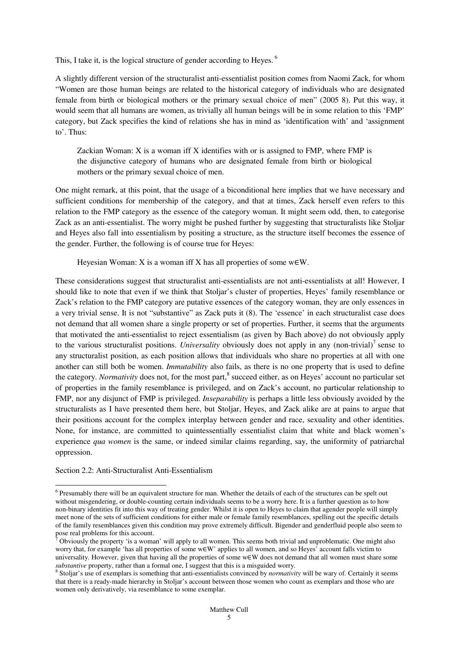This, I take it, is the logical structure of gender according to Heyes.<sup>6</sup>

A slightly different version of the structuralist anti-essentialist position comes from Naomi Zack, for whom "Women are those human beings are related to the historical category of individuals who are designated female from birth or biological mothers or the primary sexual choice of men" (2005 8). Put this way, it would seem that all humans are women, as trivially all human beings will be in some relation to this 'FMP' category, but Zack specifies the kind of relations she has in mind as 'identification with' and 'assignment to'. Thus:

Zackian Woman: X is a woman iff X identifies with or is assigned to FMP, where FMP is the disjunctive category of humans who are designated female from birth or biological mothers or the primary sexual choice of men.

One might remark, at this point, that the usage of a biconditional here implies that we have necessary and sufficient conditions for membership of the category, and that at times, Zack herself even refers to this relation to the FMP category as the essence of the category woman. It might seem odd, then, to categorise Zack as an anti-essentialist. The worry might be pushed further by suggesting that structuralists like Stoljar and Heyes also fall into essentialism by positing a structure, as the structure itself becomes the essence of the gender. Further, the following is of course true for Heyes:

Heyesian Woman: X is a woman iff X has all properties of some  $w \in W$ .

These considerations suggest that structuralist anti-essentialists are not anti-essentialists at all! However, I should like to note that even if we think that Stoljar's cluster of properties, Heyes' family resemblance or Zack's relation to the FMP category are putative essences of the category woman, they are only essences in a very trivial sense. It is not "substantive" as Zack puts it (8). The 'essence' in each structuralist case does not demand that all women share a single property or set of properties. Further, it seems that the arguments that motivated the anti-essentialist to reject essentialism (as given by Bach above) do not obviously apply to the various structuralist positions. *Universality* obviously does not apply in any (non-trivial)<sup>7</sup> sense to any structuralist position, as each position allows that individuals who share no properties at all with one another can still both be women. *Immutability* also fails, as there is no one property that is used to define the category. *Normativity* does not, for the most part,<sup>8</sup> succeed either, as on Heyes' account no particular set of properties in the family resemblance is privileged, and on Zack's account, no particular relationship to FMP, nor any disjunct of FMP is privileged. *Inseparability* is perhaps a little less obviously avoided by the structuralists as I have presented them here, but Stoljar, Heyes, and Zack alike are at pains to argue that their positions account for the complex interplay between gender and race, sexuality and other identities. None, for instance, are committed to quintessentially essentialist claim that white and black women's experience *qua women* is the same, or indeed similar claims regarding, say, the uniformity of patriarchal oppression.

Section 2.2: Anti-Structuralist Anti-Essentialism

 $\overline{a}$ 

<sup>&</sup>lt;sup>6</sup> Presumably there will be an equivalent structure for man. Whether the details of each of the structures can be spelt out without misgendering, or double-counting certain individuals seems to be a worry here. It is a further question as to how non-binary identities fit into this way of treating gender. Whilst it is open to Heyes to claim that agender people will simply meet none of the sets of sufficient conditions for either male or female family resemblances, spelling out the specific details of the family resemblances given this condition may prove extremely difficult. Bigender and genderfluid people also seem to pose real problems for this account.

Obviously the property 'is a woman' will apply to all women. This seems both trivial and unproblematic. One might also worry that, for example 'has all properties of some w∈W' applies to all women, and so Heyes' account falls victim to universality. However, given that having all the properties of some w∈W does not demand that all women must share some *substantive* property, rather than a formal one, I suggest that this is a misguided worry.

<sup>&</sup>lt;sup>8</sup> Stoljar's use of exemplars is something that anti-essentialists convinced by *normativity* will be wary of. Certainly it seems that there is a ready-made hierarchy in Stoljar's account between those women who count as exemplars and those who are women only derivatively, via resemblance to some exemplar.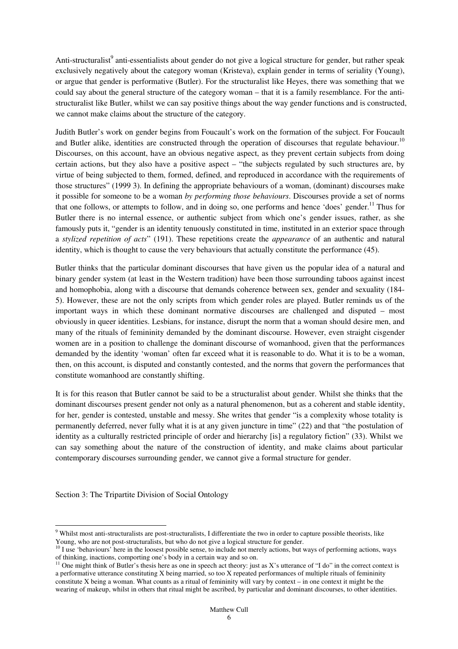Anti-structuralist<sup>9</sup> anti-essentialists about gender do not give a logical structure for gender, but rather speak exclusively negatively about the category woman (Kristeva), explain gender in terms of seriality (Young), or argue that gender is performative (Butler). For the structuralist like Heyes, there was something that we could say about the general structure of the category woman – that it is a family resemblance. For the antistructuralist like Butler, whilst we can say positive things about the way gender functions and is constructed, we cannot make claims about the structure of the category.

Judith Butler's work on gender begins from Foucault's work on the formation of the subject. For Foucault and Butler alike, identities are constructed through the operation of discourses that regulate behaviour.<sup>10</sup> Discourses, on this account, have an obvious negative aspect, as they prevent certain subjects from doing certain actions, but they also have a positive aspect – "the subjects regulated by such structures are, by virtue of being subjected to them, formed, defined, and reproduced in accordance with the requirements of those structures" (1999 3). In defining the appropriate behaviours of a woman, (dominant) discourses make it possible for someone to be a woman *by performing those behaviours*. Discourses provide a set of norms that one follows, or attempts to follow, and in doing so, one performs and hence 'does' gender.<sup>11</sup> Thus for Butler there is no internal essence, or authentic subject from which one's gender issues, rather, as she famously puts it, "gender is an identity tenuously constituted in time, instituted in an exterior space through a *stylized repetition of acts*" (191). These repetitions create the *appearance* of an authentic and natural identity, which is thought to cause the very behaviours that actually constitute the performance (45).

Butler thinks that the particular dominant discourses that have given us the popular idea of a natural and binary gender system (at least in the Western tradition) have been those surrounding taboos against incest and homophobia, along with a discourse that demands coherence between sex, gender and sexuality (184- 5). However, these are not the only scripts from which gender roles are played. Butler reminds us of the important ways in which these dominant normative discourses are challenged and disputed – most obviously in queer identities. Lesbians, for instance, disrupt the norm that a woman should desire men, and many of the rituals of femininity demanded by the dominant discourse. However, even straight cisgender women are in a position to challenge the dominant discourse of womanhood, given that the performances demanded by the identity 'woman' often far exceed what it is reasonable to do. What it is to be a woman, then, on this account, is disputed and constantly contested, and the norms that govern the performances that constitute womanhood are constantly shifting.

It is for this reason that Butler cannot be said to be a structuralist about gender. Whilst she thinks that the dominant discourses present gender not only as a natural phenomenon, but as a coherent and stable identity, for her, gender is contested, unstable and messy. She writes that gender "is a complexity whose totality is permanently deferred, never fully what it is at any given juncture in time" (22) and that "the postulation of identity as a culturally restricted principle of order and hierarchy [is] a regulatory fiction" (33). Whilst we can say something about the nature of the construction of identity, and make claims about particular contemporary discourses surrounding gender, we cannot give a formal structure for gender.

Section 3: The Tripartite Division of Social Ontology

<sup>&</sup>lt;sup>9</sup> Whilst most anti-structuralists are post-structuralists, I differentiate the two in order to capture possible theorists, like Young, who are not post-structuralists, but who do not give a logical structure for gender.

 $10$  I use 'behaviours' here in the loosest possible sense, to include not merely actions, but ways of performing actions, ways of thinking, inactions, comporting one's body in a certain way and so on.

<sup>&</sup>lt;sup>11</sup> One might think of Butler's thesis here as one in speech act theory: just as X's utterance of "I do" in the correct context is a performative utterance constituting X being married, so too X repeated performances of multiple rituals of femininity constitute X being a woman. What counts as a ritual of femininity will vary by context – in one context it might be the wearing of makeup, whilst in others that ritual might be ascribed, by particular and dominant discourses, to other identities.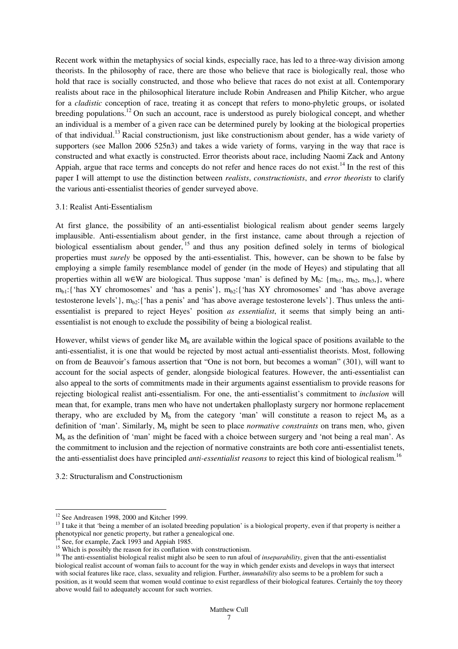Recent work within the metaphysics of social kinds, especially race, has led to a three-way division among theorists. In the philosophy of race, there are those who believe that race is biologically real, those who hold that race is socially constructed, and those who believe that races do not exist at all. Contemporary realists about race in the philosophical literature include Robin Andreasen and Philip Kitcher, who argue for a *cladistic* conception of race, treating it as concept that refers to mono-phyletic groups, or isolated breeding populations.<sup>12</sup> On such an account, race is understood as purely biological concept, and whether an individual is a member of a given race can be determined purely by looking at the biological properties of that individual.<sup>13</sup> Racial constructionism, just like constructionism about gender, has a wide variety of supporters (see Mallon 2006 525n3) and takes a wide variety of forms, varying in the way that race is constructed and what exactly is constructed. Error theorists about race, including Naomi Zack and Antony Appiah, argue that race terms and concepts do not refer and hence races do not exist.<sup>14</sup> In the rest of this paper I will attempt to use the distinction between *realists*, *constructionists*, and *error theorists* to clarify the various anti-essentialist theories of gender surveyed above.

#### 3.1: Realist Anti-Essentialism

At first glance, the possibility of an anti-essentialist biological realism about gender seems largely implausible. Anti-essentialism about gender, in the first instance, came about through a rejection of biological essentialism about gender, <sup>15</sup> and thus any position defined solely in terms of biological properties must *surely* be opposed by the anti-essentialist. This, however, can be shown to be false by employing a simple family resemblance model of gender (in the mode of Heyes) and stipulating that all properties within all w∈W are biological. Thus suppose 'man' is defined by  $M_h$ : { $m_{h1}$ ,  $m_{h2}$ ,  $m_{h3}$ ,}, where  $m_{b1}$ :{'has XY chromosomes' and 'has a penis'},  $m_{b2}$ :{'has XY chromosomes' and 'has above average testosterone levels'},  $m_{h2}$ :{'has a penis' and 'has above average testosterone levels'}. Thus unless the antiessentialist is prepared to reject Heyes' position *as essentialist*, it seems that simply being an antiessentialist is not enough to exclude the possibility of being a biological realist.

However, whilst views of gender like  $M_b$  are available within the logical space of positions available to the anti-essentialist, it is one that would be rejected by most actual anti-essentialist theorists. Most, following on from de Beauvoir's famous assertion that "One is not born, but becomes a woman" (301), will want to account for the social aspects of gender, alongside biological features. However, the anti-essentialist can also appeal to the sorts of commitments made in their arguments against essentialism to provide reasons for rejecting biological realist anti-essentialism. For one, the anti-essentialist's commitment to *inclusion* will mean that, for example, trans men who have not undertaken phalloplasty surgery nor hormone replacement therapy, who are excluded by  $M_b$  from the category 'man' will constitute a reason to reject  $M_b$  as a definition of 'man'. Similarly, M<sub>b</sub> might be seen to place *normative constraints* on trans men, who, given  $M<sub>b</sub>$  as the definition of 'man' might be faced with a choice between surgery and 'not being a real man'. As the commitment to inclusion and the rejection of normative constraints are both core anti-essentialist tenets, the anti-essentialist does have principled *anti-essentialist reasons* to reject this kind of biological realism.<sup>16</sup>

3.2: Structuralism and Constructionism

<sup>&</sup>lt;sup>12</sup> See Andreasen 1998, 2000 and Kitcher 1999.

<sup>&</sup>lt;sup>13</sup> I take it that 'being a member of an isolated breeding population' is a biological property, even if that property is neither a phenotypical nor genetic property, but rather a genealogical one.

<sup>&</sup>lt;sup>14</sup> See, for example, Zack 1993 and Appiah 1985.

<sup>&</sup>lt;sup>15</sup> Which is possibly the reason for its conflation with constructionism.

<sup>&</sup>lt;sup>16</sup> The anti-essentialist biological realist might also be seen to run afoul of *inseparability*, given that the anti-essentialist biological realist account of woman fails to account for the way in which gender exists and develops in ways that intersect with social features like race, class, sexuality and religion. Further, *immutability* also seems to be a problem for such a position, as it would seem that women would continue to exist regardless of their biological features. Certainly the toy theory above would fail to adequately account for such worries.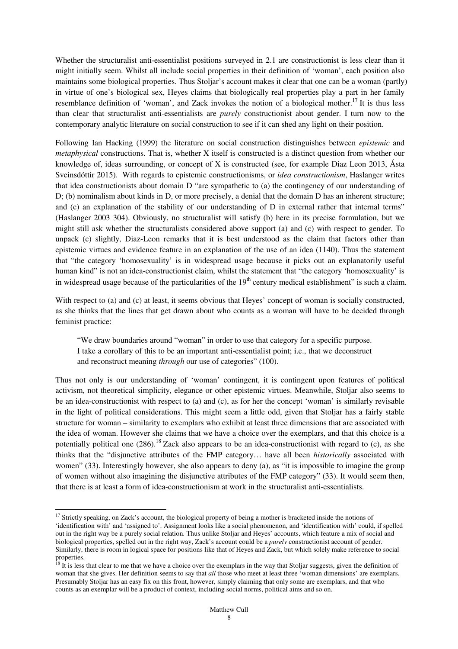Whether the structuralist anti-essentialist positions surveyed in 2.1 are constructionist is less clear than it might initially seem. Whilst all include social properties in their definition of 'woman', each position also maintains some biological properties. Thus Stoljar's account makes it clear that one can be a woman (partly) in virtue of one's biological sex, Heyes claims that biologically real properties play a part in her family resemblance definition of 'woman', and Zack invokes the notion of a biological mother.<sup>17</sup> It is thus less than clear that structuralist anti-essentialists are *purely* constructionist about gender. I turn now to the contemporary analytic literature on social construction to see if it can shed any light on their position.

Following Ian Hacking (1999) the literature on social construction distinguishes between *epistemic* and *metaphysical* constructions. That is, whether X itself is constructed is a distinct question from whether our knowledge of, ideas surrounding, or concept of X is constructed (see, for example Diaz Leon 2013, Ásta Sveinsdóttir 2015). With regards to epistemic constructionisms, or *idea constructionism*, Haslanger writes that idea constructionists about domain D "are sympathetic to (a) the contingency of our understanding of D; (b) nominalism about kinds in D, or more precisely, a denial that the domain D has an inherent structure; and (c) an explanation of the stability of our understanding of D in external rather that internal terms" (Haslanger 2003 304). Obviously, no structuralist will satisfy (b) here in its precise formulation, but we might still ask whether the structuralists considered above support (a) and (c) with respect to gender. To unpack (c) slightly, Diaz-Leon remarks that it is best understood as the claim that factors other than epistemic virtues and evidence feature in an explanation of the use of an idea (1140). Thus the statement that "the category 'homosexuality' is in widespread usage because it picks out an explanatorily useful human kind" is not an idea-constructionist claim, whilst the statement that "the category 'homosexuality' is in widespread usage because of the particularities of the  $19<sup>th</sup>$  century medical establishment" is such a claim.

With respect to (a) and (c) at least, it seems obvious that Heyes' concept of woman is socially constructed. as she thinks that the lines that get drawn about who counts as a woman will have to be decided through feminist practice:

"We draw boundaries around "woman" in order to use that category for a specific purpose. I take a corollary of this to be an important anti-essentialist point; i.e., that we deconstruct and reconstruct meaning *through* our use of categories" (100).

Thus not only is our understanding of 'woman' contingent, it is contingent upon features of political activism, not theoretical simplicity, elegance or other epistemic virtues. Meanwhile, Stoljar also seems to be an idea-constructionist with respect to (a) and (c), as for her the concept 'woman' is similarly revisable in the light of political considerations. This might seem a little odd, given that Stoljar has a fairly stable structure for woman – similarity to exemplars who exhibit at least three dimensions that are associated with the idea of woman. However she claims that we have a choice over the exemplars, and that this choice is a potentially political one  $(286)$ .<sup>18</sup> Zack also appears to be an idea-constructionist with regard to (c), as she thinks that the "disjunctive attributes of the FMP category… have all been *historically* associated with women" (33). Interestingly however, she also appears to deny (a), as "it is impossible to imagine the group of women without also imagining the disjunctive attributes of the FMP category" (33). It would seem then, that there is at least a form of idea-constructionism at work in the structuralist anti-essentialists.

<sup>&</sup>lt;sup>17</sup> Strictly speaking, on Zack's account, the biological property of being a mother is bracketed inside the notions of 'identification with' and 'assigned to'. Assignment looks like a social phenomenon, and 'identification with' could, if spelled out in the right way be a purely social relation. Thus unlike Stoljar and Heyes' accounts, which feature a mix of social and biological properties, spelled out in the right way, Zack's account could be a *purely* constructionist account of gender. Similarly, there is room in logical space for positions like that of Heyes and Zack, but which solely make reference to social properties.

 $^{18}$  It is less that clear to me that we have a choice over the exemplars in the way that Stoljar suggests, given the definition of woman that she gives. Her definition seems to say that *all* those who meet at least three 'woman dimensions' are exemplars. Presumably Stoljar has an easy fix on this front, however, simply claiming that only some are exemplars, and that who counts as an exemplar will be a product of context, including social norms, political aims and so on.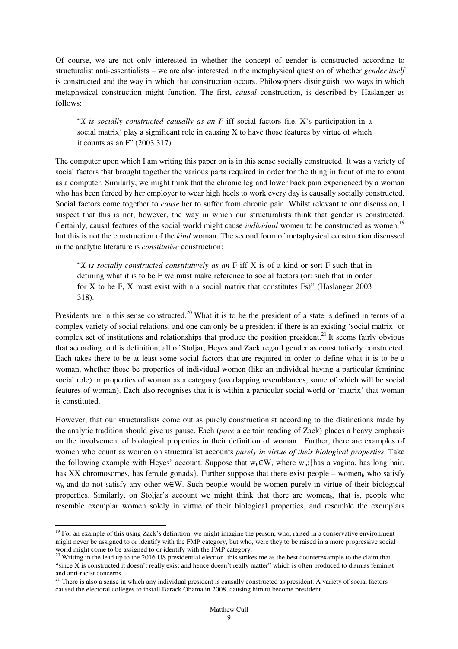Of course, we are not only interested in whether the concept of gender is constructed according to structuralist anti-essentialists – we are also interested in the metaphysical question of whether *gender itself* is constructed and the way in which that construction occurs. Philosophers distinguish two ways in which metaphysical construction might function. The first, *causal* construction, is described by Haslanger as follows:

"*X is socially constructed causally as an F* iff social factors (i.e. X's participation in a social matrix) play a significant role in causing  $X$  to have those features by virtue of which it counts as an F" (2003 317).

The computer upon which I am writing this paper on is in this sense socially constructed. It was a variety of social factors that brought together the various parts required in order for the thing in front of me to count as a computer. Similarly, we might think that the chronic leg and lower back pain experienced by a woman who has been forced by her employer to wear high heels to work every day is causally socially constructed. Social factors come together to *cause* her to suffer from chronic pain. Whilst relevant to our discussion, I suspect that this is not, however, the way in which our structuralists think that gender is constructed. Certainly, causal features of the social world might cause *individual* women to be constructed as women,<sup>19</sup> but this is not the construction of the *kind* woman. The second form of metaphysical construction discussed in the analytic literature is *constitutive* construction:

"*X is socially constructed constitutively as an* F iff X is of a kind or sort F such that in defining what it is to be F we must make reference to social factors (or: such that in order for X to be F, X must exist within a social matrix that constitutes Fs)" (Haslanger 2003 318).

Presidents are in this sense constructed.<sup>20</sup> What it is to be the president of a state is defined in terms of a complex variety of social relations, and one can only be a president if there is an existing 'social matrix' or complex set of institutions and relationships that produce the position president.<sup>21</sup> It seems fairly obvious that according to this definition, all of Stoljar, Heyes and Zack regard gender as constitutively constructed. Each takes there to be at least some social factors that are required in order to define what it is to be a woman, whether those be properties of individual women (like an individual having a particular feminine social role) or properties of woman as a category (overlapping resemblances, some of which will be social features of woman). Each also recognises that it is within a particular social world or 'matrix' that woman is constituted.

However, that our structuralists come out as purely constructionist according to the distinctions made by the analytic tradition should give us pause. Each (*pace* a certain reading of Zack) places a heavy emphasis on the involvement of biological properties in their definition of woman. Further, there are examples of women who count as women on structuralist accounts *purely in virtue of their biological properties*. Take the following example with Heyes' account. Suppose that  $w_b \in W$ , where  $w_b$ :{has a vagina, has long hair, has XX chromosomes, has female gonads}. Further suppose that there exist people – women<sub>b</sub> who satisfy  $w<sub>b</sub>$  and do not satisfy any other w∈W. Such people would be women purely in virtue of their biological properties. Similarly, on Stoliar's account we might think that there are women<sub>b</sub>, that is, people who resemble exemplar women solely in virtue of their biological properties, and resemble the exemplars

<sup>&</sup>lt;sup>19</sup> For an example of this using Zack's definition, we might imagine the person, who, raised in a conservative environment might never be assigned to or identify with the FMP category, but who, were they to be raised in a more progressive social world might come to be assigned to or identify with the FMP category.

<sup>&</sup>lt;sup>20</sup> Writing in the lead up to the 2016 US presidential election, this strikes me as the best counterexample to the claim that "since X is constructed it doesn't really exist and hence doesn't really matter" which is often produced to dismiss feminist and anti-racist concerns.

 $21$  There is also a sense in which any individual president is causally constructed as president. A variety of social factors caused the electoral colleges to install Barack Obama in 2008, causing him to become president.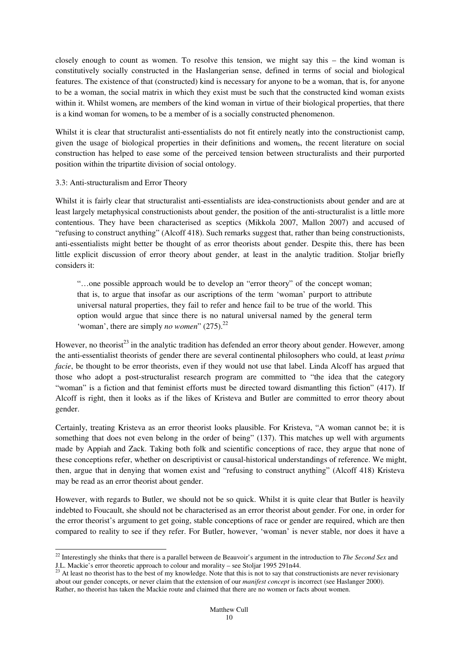closely enough to count as women. To resolve this tension, we might say this – the kind woman is constitutively socially constructed in the Haslangerian sense, defined in terms of social and biological features. The existence of that (constructed) kind is necessary for anyone to be a woman, that is, for anyone to be a woman, the social matrix in which they exist must be such that the constructed kind woman exists within it. Whilst women<sub>b</sub> are members of the kind woman in virtue of their biological properties, that there is a kind woman for women<sub>b</sub> to be a member of is a socially constructed phenomenon.

Whilst it is clear that structuralist anti-essentialists do not fit entirely neatly into the constructionist camp, given the usage of biological properties in their definitions and women<sub>b</sub>, the recent literature on social construction has helped to ease some of the perceived tension between structuralists and their purported position within the tripartite division of social ontology.

# 3.3: Anti-structuralism and Error Theory

l

Whilst it is fairly clear that structuralist anti-essentialists are idea-constructionists about gender and are at least largely metaphysical constructionists about gender, the position of the anti-structuralist is a little more contentious. They have been characterised as sceptics (Mikkola 2007, Mallon 2007) and accused of "refusing to construct anything" (Alcoff 418). Such remarks suggest that, rather than being constructionists, anti-essentialists might better be thought of as error theorists about gender. Despite this, there has been little explicit discussion of error theory about gender, at least in the analytic tradition. Stoljar briefly considers it:

"…one possible approach would be to develop an "error theory" of the concept woman; that is, to argue that insofar as our ascriptions of the term 'woman' purport to attribute universal natural properties, they fail to refer and hence fail to be true of the world. This option would argue that since there is no natural universal named by the general term 'woman', there are simply *no women*" (275).<sup>22</sup>

However, no theorist<sup>23</sup> in the analytic tradition has defended an error theory about gender. However, among the anti-essentialist theorists of gender there are several continental philosophers who could, at least *prima facie*, be thought to be error theorists, even if they would not use that label. Linda Alcoff has argued that those who adopt a post-structuralist research program are committed to "the idea that the category "woman" is a fiction and that feminist efforts must be directed toward dismantling this fiction" (417). If Alcoff is right, then it looks as if the likes of Kristeva and Butler are committed to error theory about gender.

Certainly, treating Kristeva as an error theorist looks plausible. For Kristeva, "A woman cannot be; it is something that does not even belong in the order of being" (137). This matches up well with arguments made by Appiah and Zack. Taking both folk and scientific conceptions of race, they argue that none of these conceptions refer, whether on descriptivist or causal-historical understandings of reference. We might, then, argue that in denying that women exist and "refusing to construct anything" (Alcoff 418) Kristeva may be read as an error theorist about gender.

However, with regards to Butler, we should not be so quick. Whilst it is quite clear that Butler is heavily indebted to Foucault, she should not be characterised as an error theorist about gender. For one, in order for the error theorist's argument to get going, stable conceptions of race or gender are required, which are then compared to reality to see if they refer. For Butler, however, 'woman' is never stable, nor does it have a

<sup>&</sup>lt;sup>22</sup> Interestingly she thinks that there is a parallel between de Beauvoir's argument in the introduction to *The Second Sex* and J.L. Mackie's error theoretic approach to colour and morality – see Stoljar 1995 291n44.

 $2<sup>23</sup>$  At least no theorist has to the best of my knowledge. Note that this is not to say that constructionists are never revisionary about our gender concepts, or never claim that the extension of our *manifest concept* is incorrect (see Haslanger 2000). Rather, no theorist has taken the Mackie route and claimed that there are no women or facts about women.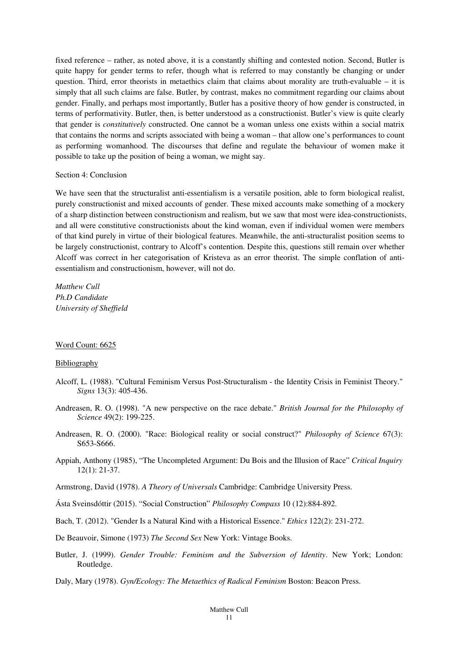fixed reference – rather, as noted above, it is a constantly shifting and contested notion. Second, Butler is quite happy for gender terms to refer, though what is referred to may constantly be changing or under question. Third, error theorists in metaethics claim that claims about morality are truth-evaluable – it is simply that all such claims are false. Butler, by contrast, makes no commitment regarding our claims about gender. Finally, and perhaps most importantly, Butler has a positive theory of how gender is constructed, in terms of performativity. Butler, then, is better understood as a constructionist. Butler's view is quite clearly that gender is *constitutively* constructed. One cannot be a woman unless one exists within a social matrix that contains the norms and scripts associated with being a woman – that allow one's performances to count as performing womanhood. The discourses that define and regulate the behaviour of women make it possible to take up the position of being a woman, we might say.

## Section 4: Conclusion

We have seen that the structuralist anti-essentialism is a versatile position, able to form biological realist, purely constructionist and mixed accounts of gender. These mixed accounts make something of a mockery of a sharp distinction between constructionism and realism, but we saw that most were idea-constructionists, and all were constitutive constructionists about the kind woman, even if individual women were members of that kind purely in virtue of their biological features. Meanwhile, the anti-structuralist position seems to be largely constructionist, contrary to Alcoff's contention. Despite this, questions still remain over whether Alcoff was correct in her categorisation of Kristeva as an error theorist. The simple conflation of antiessentialism and constructionism, however, will not do.

*Matthew Cull Ph.D Candidate University of Sheffield* 

# Word Count: 6625

#### Bibliography

- Alcoff, L. (1988). "Cultural Feminism Versus Post-Structuralism the Identity Crisis in Feminist Theory." *Signs* 13(3): 405-436.
- Andreasen, R. O. (1998). "A new perspective on the race debate." *British Journal for the Philosophy of Science* 49(2): 199-225.
- Andreasen, R. O. (2000). "Race: Biological reality or social construct?" *Philosophy of Science* 67(3): S653-S666.
- Appiah, Anthony (1985), "The Uncompleted Argument: Du Bois and the Illusion of Race" *Critical Inquiry* 12(1): 21-37.
- Armstrong, David (1978). *A Theory of Universals* Cambridge: Cambridge University Press.
- Ásta Sveinsdóttir (2015). "Social Construction" *Philosophy Compass* 10 (12):884-892.
- Bach, T. (2012). "Gender Is a Natural Kind with a Historical Essence." *Ethics* 122(2): 231-272.
- De Beauvoir, Simone (1973) *The Second Sex* New York: Vintage Books.
- Butler, J. (1999). *Gender Trouble: Feminism and the Subversion of Identity*. New York; London: Routledge.
- Daly, Mary (1978). *Gyn/Ecology: The Metaethics of Radical Feminism* Boston: Beacon Press.